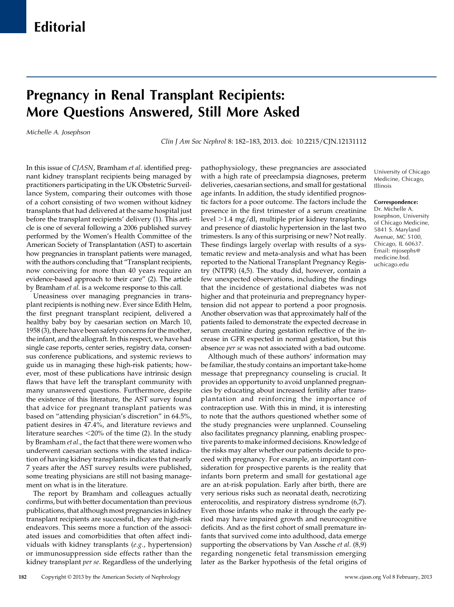## Pregnancy in Renal Transplant Recipients: More Questions Answered, Still More Asked

Michelle A. Josephson

Clin J Am Soc Nephrol 8: 182–183, 2013. doi: 10.2215/CJN.12131112

In this issue of CJASN, Bramham et al. identified pregnant kidney transplant recipients being managed by practitioners participating in the UK Obstetric Surveillance System, comparing their outcomes with those of a cohort consisting of two women without kidney transplants that had delivered at the same hospital just before the transplant recipients' delivery (1). This article is one of several following a 2006 published survey performed by the Women's Health Committee of the American Society of Transplantation (AST) to ascertain how pregnancies in transplant patients were managed, with the authors concluding that "Transplant recipients, now conceiving for more than 40 years require an evidence-based approach to their care" (2). The article by Bramham et al. is a welcome response to this call.

Uneasiness over managing pregnancies in transplant recipients is nothing new. Ever since Edith Helm, the first pregnant transplant recipient, delivered a healthy baby boy by caesarian section on March 10, 1958 (3), there have been safety concerns for the mother, the infant, and the allograft. In this respect, we have had single case reports, center series, registry data, consensus conference publications, and systemic reviews to guide us in managing these high-risk patients; however, most of these publications have intrinsic design flaws that have left the transplant community with many unanswered questions. Furthermore, despite the existence of this literature, the AST survey found that advice for pregnant transplant patients was based on "attending physician's discretion" in 64.5%, patient desires in 47.4%, and literature reviews and literature searches  $\langle 20\%$  of the time (2). In the study by Bramham et al., the fact that there were women who underwent caesarian sections with the stated indication of having kidney transplants indicates that nearly 7 years after the AST survey results were published, some treating physicians are still not basing management on what is in the literature.

The report by Bramham and colleagues actually confirms, but with better documentation than previous publications, that although most pregnancies in kidney transplant recipients are successful, they are high-risk endeavors. This seems more a function of the associated issues and comorbidities that often affect individuals with kidney transplants (e.g., hypertension) or immunosuppression side effects rather than the kidney transplant per se. Regardless of the underlying pathophysiology, these pregnancies are associated with a high rate of preeclampsia diagnoses, preterm deliveries, caesarian sections, and small for gestational age infants. In addition, the study identified prognostic factors for a poor outcome. The factors include the presence in the first trimester of a serum creatinine level >1.4 mg/dl, multiple prior kidney transplants, and presence of diastolic hypertension in the last two trimesters. Is any of this surprising or new? Not really. These findings largely overlap with results of a systematic review and meta-analysis and what has been reported to the National Transplant Pregnancy Registry (NTPR) (4,5). The study did, however, contain a few unexpected observations, including the findings that the incidence of gestational diabetes was not higher and that proteinuria and prepregnancy hypertension did not appear to portend a poor prognosis. Another observation was that approximately half of the patients failed to demonstrate the expected decrease in serum creatinine during gestation reflective of the increase in GFR expected in normal gestation, but this absence per se was not associated with a bad outcome.

Although much of these authors' information may be familiar, the study contains an important take-home message that prepregnancy counseling is crucial. It provides an opportunity to avoid unplanned pregnancies by educating about increased fertility after transplantation and reinforcing the importance of contraception use. With this in mind, it is interesting to note that the authors questioned whether some of the study pregnancies were unplanned. Counseling also facilitates pregnancy planning, enabling prospective parents to make informed decisions. Knowledge of the risks may alter whether our patients decide to proceed with pregnancy. For example, an important consideration for prospective parents is the reality that infants born preterm and small for gestational age are an at-risk population. Early after birth, there are very serious risks such as neonatal death, necrotizing enterocolitis, and respiratory distress syndrome (6,7). Even those infants who make it through the early period may have impaired growth and neurocognitive deficits. And as the first cohort of small premature infants that survived come into adulthood, data emerge supporting the observations by Van Assche et al. (8,9) regarding nongenetic fetal transmission emerging later as the Barker hypothesis of the fetal origins of

University of Chicago Medicine, Chicago, Illinois

## Correspondence:

Dr. Michelle A. Josephson, University of Chicago Medicine, 5841 S. Maryland Avenue, MC 5100, Chicago, IL 60637. Email: [mjosephs@](mailto:mjosephs@medicine.bsd.uchicago.edu) [medicine.bsd.](mailto:mjosephs@medicine.bsd.uchicago.edu) [uchicago.edu](mailto:mjosephs@medicine.bsd.uchicago.edu)